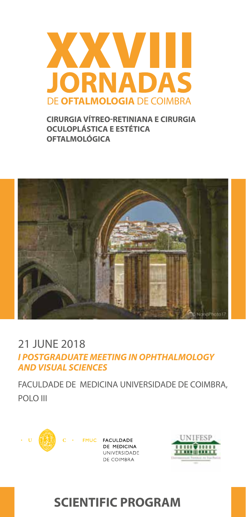

**CIRURGIA VÍTREO-RETINIANA E CIRURGIA OCULOPLÁSTICA E ESTÉTICA OFTALMOLÓGICA**



### 21 JUNE 2018 *I POSTGRADUATE MEETING IN OPHTHALMOLOGY AND VISUAL SCIENCES*

FACULDADE DE MEDICINA UNIVERSIDADE DE COIMBRA, POLO III





# **SCIENTIFIC PROGRAM**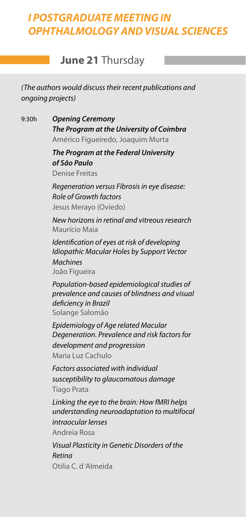## *I POSTGRADUATE MEETING IN OPHTHALMOLOGY AND VISUAL SCIENCES*

### **June 21** Thursday

*(The authors would discuss their recent publications and ongoing projects)*

9:30h *Opening Ceremony The Program at the University of Coimbra* Américo Figueiredo, Joaquim Murta

> *The Program at the Federal University of São Paulo* Denise Freitas

*Regeneration versus Fibrosis in eye disease: Role of Growth factors* Jesus Merayo (Oviedo)

*New horizons in retinal and vitreous research* Maurício Maia

*Identification of eyes at risk of developing Idiopathic Macular Holes by Support Vector Machines* João Figueira

*Population-based epidemiological studies of prevalence and causes of blindness and visual deficiency in Brazil* Solange Salomão

*Epidemiology of Age related Macular Degeneration. Prevalence and risk factors for development and progression* Maria Luz Cachulo

*Factors associated with individual susceptibility to glaucomatous damage* Tiago Prata

*Linking the eye to the brain: How fMRI helps understanding neuroadaptation to multifocal intraocular lenses* Andreia Rosa

*Visual Plasticity in Genetic Disorders of the Retina* Otilia C. d 'Almeida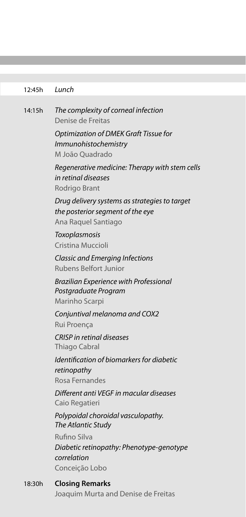#### 12:45h *Lunch*

14:15h *The complexity of corneal infection* Denise de Freitas *Optimization of DMEK Graft Tissue for Immunohistochemistry* M João Quadrado *Regenerative medicine: Therapy with stem cells in retinal diseases* Rodrigo Brant *Drug delivery systems as strategies to target the posterior segment of the eye* Ana Raquel Santiago *Toxoplasmosis* Cristina Muccioli *Classic and Emerging Infections* Rubens Belfort Junior *Brazilian Experience with Professional Postgraduate Program*  Marinho Scarpi *Conjuntival melanoma and COX2* Rui Proença *CRISP in retinal diseases* Thiago Cabral *Identification of biomarkers for diabetic retinopathy* Rosa Fernandes *Different anti VEGF in macular diseases*  Caio Regatieri *Polypoidal choroidal vasculopathy. The Atlantic Study* Rufino Silva *Diabetic retinopathy: Phenotype-genotype correlation* Conceição Lobo

18:30h **Closing Remarks** Joaquim Murta and Denise de Freitas